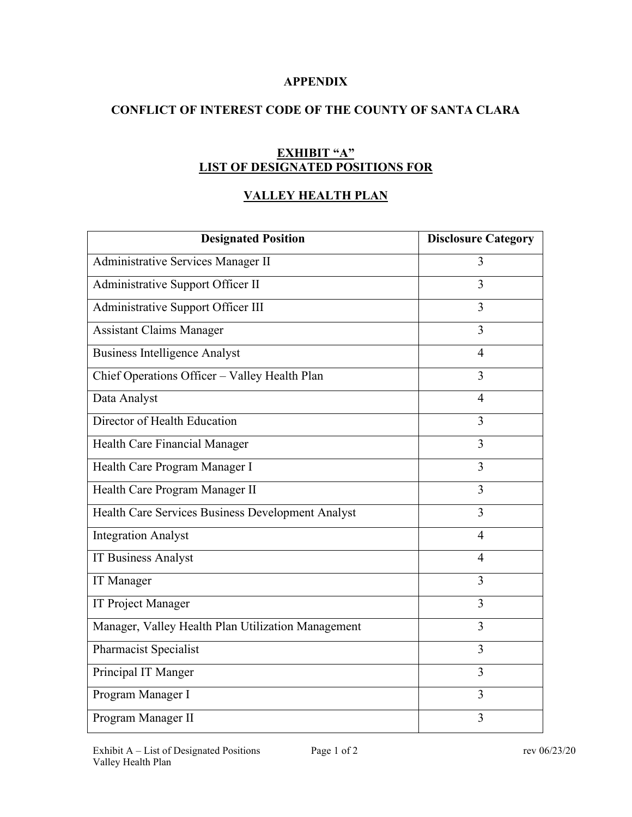## **APPENDIX**

# **CONFLICT OF INTEREST CODE OF THE COUNTY OF SANTA CLARA**

## **EXHIBIT "A" LIST OF DESIGNATED POSITIONS FOR**

# **VALLEY HEALTH PLAN**

| <b>Designated Position</b>                         | <b>Disclosure Category</b> |
|----------------------------------------------------|----------------------------|
| Administrative Services Manager II                 | 3                          |
| Administrative Support Officer II                  | 3                          |
| Administrative Support Officer III                 | 3                          |
| <b>Assistant Claims Manager</b>                    | 3                          |
| <b>Business Intelligence Analyst</b>               | $\overline{4}$             |
| Chief Operations Officer - Valley Health Plan      | 3                          |
| Data Analyst                                       | $\overline{4}$             |
| Director of Health Education                       | 3                          |
| Health Care Financial Manager                      | 3                          |
| Health Care Program Manager I                      | 3                          |
| Health Care Program Manager II                     | $\overline{3}$             |
| Health Care Services Business Development Analyst  | 3                          |
| <b>Integration Analyst</b>                         | $\overline{4}$             |
| <b>IT Business Analyst</b>                         | $\overline{4}$             |
| IT Manager                                         | 3                          |
| <b>IT Project Manager</b>                          | $\overline{3}$             |
| Manager, Valley Health Plan Utilization Management | 3                          |
| Pharmacist Specialist                              | 3                          |
| Principal IT Manger                                | 3                          |
| Program Manager I                                  | 3                          |
| Program Manager II                                 | $\overline{3}$             |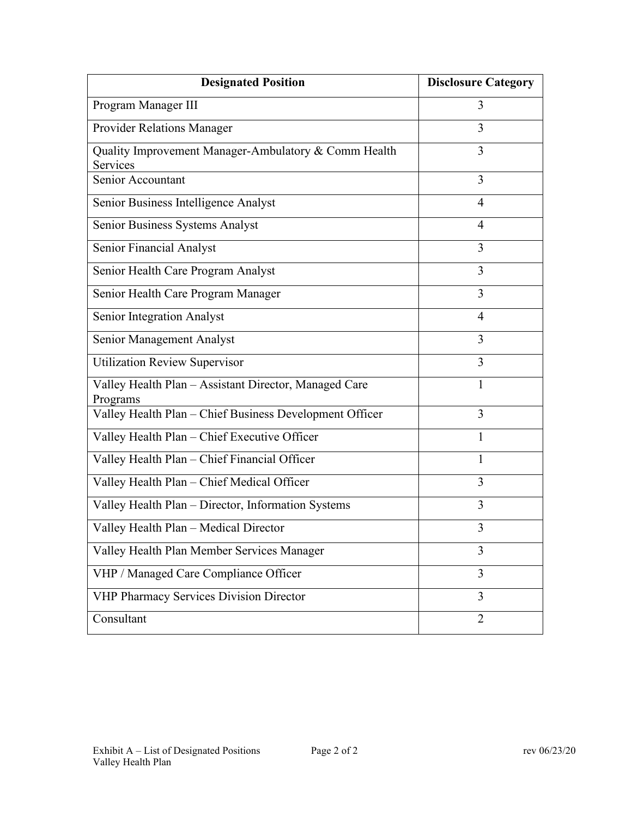| <b>Designated Position</b>                                        | <b>Disclosure Category</b> |
|-------------------------------------------------------------------|----------------------------|
| Program Manager III                                               | 3                          |
| Provider Relations Manager                                        | 3                          |
| Quality Improvement Manager-Ambulatory & Comm Health<br>Services  | 3                          |
| Senior Accountant                                                 | 3                          |
| Senior Business Intelligence Analyst                              | 4                          |
| Senior Business Systems Analyst                                   | 4                          |
| Senior Financial Analyst                                          | 3                          |
| Senior Health Care Program Analyst                                | 3                          |
| Senior Health Care Program Manager                                | 3                          |
| Senior Integration Analyst                                        | 4                          |
| Senior Management Analyst                                         | 3                          |
| <b>Utilization Review Supervisor</b>                              | 3                          |
| Valley Health Plan - Assistant Director, Managed Care<br>Programs | 1                          |
| Valley Health Plan - Chief Business Development Officer           | 3                          |
| Valley Health Plan - Chief Executive Officer                      | 1                          |
| Valley Health Plan - Chief Financial Officer                      | 1                          |
| Valley Health Plan - Chief Medical Officer                        | 3                          |
| Valley Health Plan - Director, Information Systems                | 3                          |
| Valley Health Plan - Medical Director                             | 3                          |
| Valley Health Plan Member Services Manager                        | 3                          |
| VHP / Managed Care Compliance Officer                             | 3                          |
| VHP Pharmacy Services Division Director                           | 3                          |
| Consultant                                                        | $\overline{2}$             |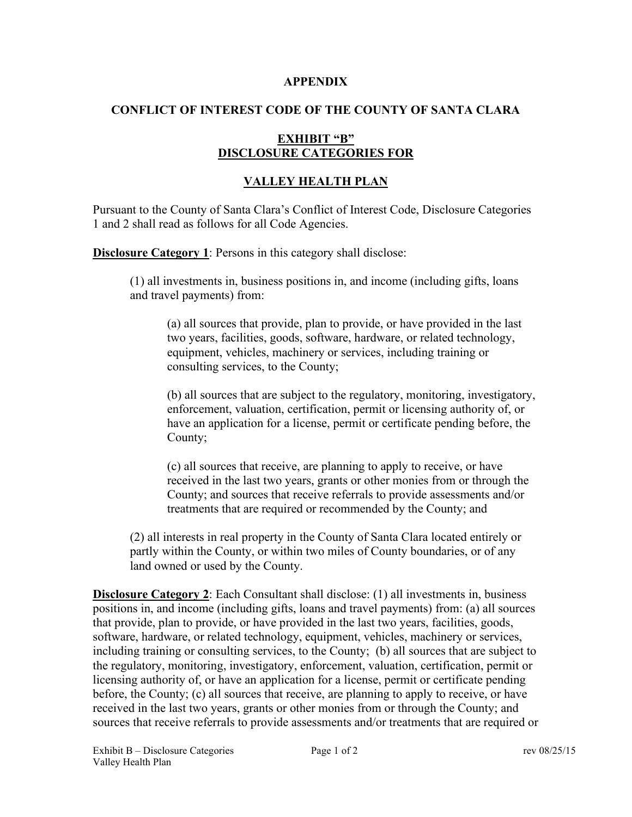#### **APPENDIX**

# **CONFLICT OF INTEREST CODE OF THE COUNTY OF SANTA CLARA**

## **EXHIBIT "B" DISCLOSURE CATEGORIES FOR**

# **VALLEY HEALTH PLAN**

Pursuant to the County of Santa Clara's Conflict of Interest Code, Disclosure Categories 1 and 2 shall read as follows for all Code Agencies.

**Disclosure Category 1**: Persons in this category shall disclose:

(1) all investments in, business positions in, and income (including gifts, loans and travel payments) from:

(a) all sources that provide, plan to provide, or have provided in the last two years, facilities, goods, software, hardware, or related technology, equipment, vehicles, machinery or services, including training or consulting services, to the County;

(b) all sources that are subject to the regulatory, monitoring, investigatory, enforcement, valuation, certification, permit or licensing authority of, or have an application for a license, permit or certificate pending before, the County;

(c) all sources that receive, are planning to apply to receive, or have received in the last two years, grants or other monies from or through the County; and sources that receive referrals to provide assessments and/or treatments that are required or recommended by the County; and

(2) all interests in real property in the County of Santa Clara located entirely or partly within the County, or within two miles of County boundaries, or of any land owned or used by the County.

**Disclosure Category 2**: Each Consultant shall disclose: (1) all investments in, business positions in, and income (including gifts, loans and travel payments) from: (a) all sources that provide, plan to provide, or have provided in the last two years, facilities, goods, software, hardware, or related technology, equipment, vehicles, machinery or services, including training or consulting services, to the County; (b) all sources that are subject to the regulatory, monitoring, investigatory, enforcement, valuation, certification, permit or licensing authority of, or have an application for a license, permit or certificate pending before, the County; (c) all sources that receive, are planning to apply to receive, or have received in the last two years, grants or other monies from or through the County; and sources that receive referrals to provide assessments and/or treatments that are required or